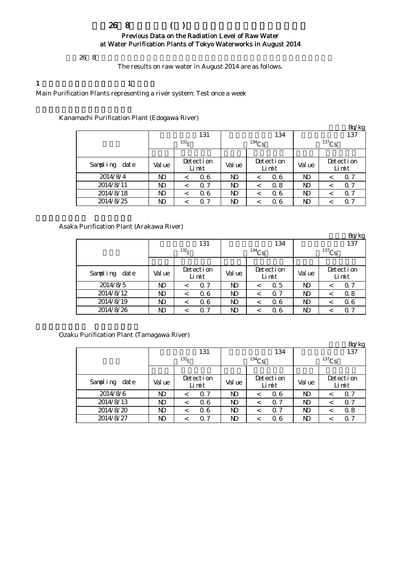## 平成26年8月の浄水場(所)の原水の放射能測定結果について Previous Data on the Radiation Level of Raw Water at Water Purification Plants of Tokyo Waterworks in August 2014

 $268$ 

The results on raw water in August 2014 are as follows.

1  $\qquad \qquad 1$ 

Main Purification Plants representing a river system: Test once a week

Kanamachi Purification Plant (Edogawa River)

|               |        |                    |              |                    |          | Bq/kg              |  |  |
|---------------|--------|--------------------|--------------|--------------------|----------|--------------------|--|--|
|               |        | 131                |              | 134                |          | 137                |  |  |
|               |        | 131 <sub>T</sub>   |              | $134$ Cs           | $137$ Cs |                    |  |  |
|               |        |                    |              |                    |          |                    |  |  |
| Sampling date | Val ue | Detection<br>Limit | Val ue       | Detection<br>Limit | Val ue   | Detection<br>Limit |  |  |
| 2014/8/4      | ND     | 06<br><            | ND           | 06                 | ND       | Q 7<br>$\,<\,$     |  |  |
| 2014/8/11     | ND     | 0.7<br>$\,<\,$     | $\mathbf{D}$ | 0.8                | ND       | 0.7<br>$\,<$       |  |  |
| 2014/8/18     | ND     | 06<br>$\,<\,$      | ND           | 06                 | ND       | 0.7<br>$\,<\,$     |  |  |
| 2014/8/25     | ND     | 0.7<br>$\,<\,$     | ND           | 06                 | ND       | 0.7                |  |  |

Asaka Purification Plant (Arakawa River)

|               |        |                    |        |                       |            | Bq/kg              |  |  |
|---------------|--------|--------------------|--------|-----------------------|------------|--------------------|--|--|
|               |        | 131                |        | 134                   |            | 137                |  |  |
|               |        | 131 <sub>T</sub>   |        | $134$ Cs              | $^{137}Cs$ |                    |  |  |
|               |        |                    |        |                       |            |                    |  |  |
| Sampling date | Val ue | Detection<br>Limit | Val ue | Detection<br>Limit    | Val ue     | Detection<br>Limit |  |  |
| 2014/8/5      | ND     | 0.7<br><           | ND     | 0.5<br><              | ND         | 0.7<br><           |  |  |
| 2014/8/12     | ND     | 06<br>$\,<$        | ND     | $\Omega$ 7<br>$\,<\,$ | ND         | 0.8<br>$\,<\,$     |  |  |
| 2014/8/19     | ND     | 06<br>$\,<\,$      | ND     | 06<br><               | ND         | 06<br>$\,<$        |  |  |
| 2014/8/26     | ND     | 0.7<br><           | ND     | 06                    | ND         | 0.7                |  |  |

Ozaku Purification Plant (Tamagawa River)

|               |        |                    |                |                       |                 | Bq/kg              |  |  |
|---------------|--------|--------------------|----------------|-----------------------|-----------------|--------------------|--|--|
|               |        | 131                |                | 134                   | 137<br>$137$ Cs |                    |  |  |
|               |        | 131 <sub>T</sub>   |                | $134$ Cs              |                 |                    |  |  |
|               |        |                    |                |                       |                 |                    |  |  |
| Sampling date | Val ue | Detection<br>Limit | Val ue         | Detection<br>Limit    | Val ue          | Detection<br>Limit |  |  |
| 2014/8/6      | ND     | 0.7                | N <sub>D</sub> | 06<br><               | ND              | 0.7<br><           |  |  |
| 2014/8/13     | ND     | 06<br>$\,<\,$      | ND             | $\alpha$ 7<br>$\,<\,$ | ND              | Q 7<br>$\,<\,$     |  |  |
| 2014/8/20     | ND     | 06<br>$\,<\,$      | ND             | $\alpha$ 7<br>$\,<\,$ | ND              | 0.8<br>$\,<$       |  |  |
| 2014/8/27     | ND     | 0.7                | ND             | 06                    | ND              | 0.7<br><           |  |  |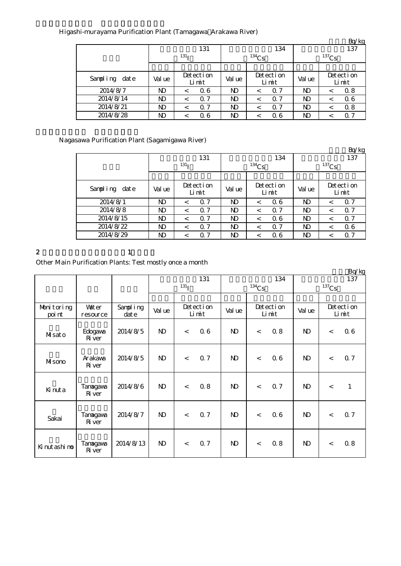|               |        |                    |              |                    |          | Bq/kg              |  |
|---------------|--------|--------------------|--------------|--------------------|----------|--------------------|--|
|               |        | 131                |              | 134                |          | 137                |  |
|               |        | 131 <sub>T</sub>   |              | $134$ Cs           | $137$ Cs |                    |  |
|               |        |                    |              |                    |          |                    |  |
| Sampling date | Val ue | Detection<br>Limit | Val ue       | Detection<br>Limit | Val ue   | Detection<br>Limit |  |
| 2014/8/7      | ND     | 06<br>$\,<\,$      | ND           | $\Omega$ 7         | ND       | 0.8<br><           |  |
| 2014/8/14     | ND     | 0.7<br>$\,<\,$     | $\mathbf{D}$ | $\alpha$ 7<br><    | ND       | 06<br><            |  |
| 2014/8/21     | ND     | 0.7<br>$\,<$       | $\mathbf{D}$ | $\Omega$ 7         | ND       | 0.8<br><           |  |
| 2014/8/28     | ND     | 06<br><            | ND           | 06                 | ND       | Q 7                |  |

Nagasawa Purification Plant (Sagamigawa River)

|                  |              |                    |                |                       |                 | Bq/kg              |  |  |
|------------------|--------------|--------------------|----------------|-----------------------|-----------------|--------------------|--|--|
|                  |              | 131                |                | 134                   | 137<br>$137$ Cs |                    |  |  |
|                  |              | 131 <sub>T</sub>   |                | $134$ Cs              |                 |                    |  |  |
|                  |              |                    |                |                       |                 |                    |  |  |
| Sampling<br>date | Val ue       | Detection<br>Limit | Val ue         | Detection<br>Limit    | Val ue          | Detection<br>Limit |  |  |
| 2014/8/1         | <b>ND</b>    | 0.7<br>$\,<\,$     | ND.            | 06<br>$\,<\,$         | ND              | 0.7<br>$\,<\,$     |  |  |
| 2014/8/8         | <b>ND</b>    | 0.7<br>$\,<\,$     | ND             | $\Omega$ 7<br>$\,<\,$ | ND              | 0.7<br>$\,<\,$     |  |  |
| 2014/8/15        | $\mathbf{D}$ | 0.7<br>$\,<\,$     | <b>ND</b>      | 06<br>$\,<\,$         | ND              | 0.7<br>$\,<\,$     |  |  |
| 2014/8/22        | ND           | 0.7<br><           | ND             | $\Omega$ 7<br>$\,<\,$ | ND              | 06<br>$\,<\,$      |  |  |
| 2014/8/29        | ND           | 0.7<br>$\,<\,$     | N <sub>D</sub> | 06<br>$\,<\,$         | ND              | 0.7<br>$\,<\,$     |  |  |

#### 2  $1$

Other Main Purification Plants: Test mostly once a month

|                      |                          |                   |              |                    |     |                |                    |     |              |          | Bq/kg              |  |
|----------------------|--------------------------|-------------------|--------------|--------------------|-----|----------------|--------------------|-----|--------------|----------|--------------------|--|
|                      |                          |                   | 131          |                    |     |                |                    | 134 | 137          |          |                    |  |
|                      |                          |                   |              | $^{131}I$          |     |                | $134$ Cs           |     |              | $137$ Cs |                    |  |
|                      |                          |                   |              |                    |     |                |                    |     |              |          |                    |  |
| Monitoring<br>poi nt | <b>Vater</b><br>resource | Sampling<br>dat e | Val ue       | Detection<br>Limit |     | Val ue         | Detection<br>Limit |     | Val ue       |          | Detection<br>Limit |  |
| Misato               | Edogava<br>River         | 2014/8/5          | $\mathbf{N}$ | $\lt$              | 06  | $\mathbf{N}$   | $\,<$              | 0.8 | N)           | $\lt$    | 0.6                |  |
| Misono               | Arakawa<br>River         | 2014/8/5          | $\mathbf{N}$ | $\lt$              | 0.7 | $\mathbf{N}$   | $\,<$              | 06  | N)           | $\lt$    | 0.7                |  |
| Kinuta               | Tanagawa<br>Ri ver       | 2014/8/6          | $\mathbf{N}$ | $\lt$              | 0.8 | $\mathbf{N}$   | $\,<$              | 0.7 | N)           | $\,<$    | $\mathbf{1}$       |  |
| Sakai                | Tanagawa<br>Ri ver       | 2014/8/7          | $\mathbf{N}$ | $\lt$              | 0.7 | N <sub>D</sub> | $\,<$              | 06  | $\mathbf{D}$ | $\,<$    | 0.7                |  |
| Kinutashimo          | Tanagawa<br>River        | 2014/8/13         | $\mathbf{N}$ | $\lt$              | 0.7 | $\mathbf{N}$   | $\,<$              | 0.8 | N)           | $\,<$    | 0.8                |  |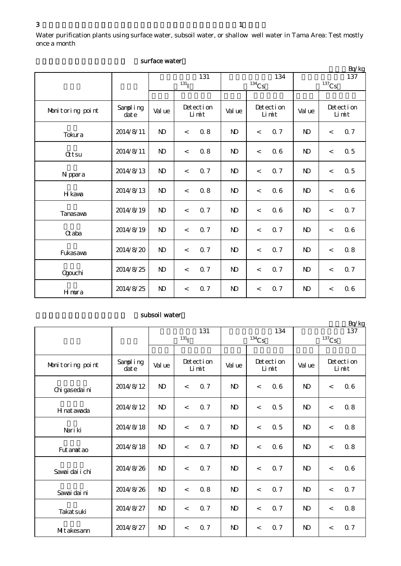Water purification plants using surface water, subsoil water, or shallow well water in Tama Area: Test mostly once a month

|                  |                   |                         |                          |                    |                            |                          |     |                            |       | Bq/kg              |
|------------------|-------------------|-------------------------|--------------------------|--------------------|----------------------------|--------------------------|-----|----------------------------|-------|--------------------|
|                  |                   | 131<br>131 <sub>I</sub> |                          |                    | 134<br>$^{134}\mathrm{Cs}$ |                          |     | 137<br>$^{137}\mathrm{Cs}$ |       |                    |
|                  |                   |                         |                          |                    |                            |                          |     |                            |       |                    |
| Monitoring point | Sampling<br>dat e | Val ue                  |                          | Detection<br>Limit |                            | Detection<br>Limit       |     | Val ue                     |       | Detection<br>Limit |
| Tokura           | 2014/8/11         | $\mathbf{N}$            | $\,<\,$                  | 0.8                | $\mathbf{N}$               | $\overline{\phantom{a}}$ | 0.7 | $\mathbf{N}$               | $\lt$ | 0.7                |
| <b>Qtsu</b>      | 2014/8/11         | $\mathbf{N}$            | $\,<$                    | 0.8                | $\mathbf{N}$               | $\overline{\phantom{a}}$ | 06  | $\mathbf{N}$               | $\lt$ | 0.5                |
| N ppara          | 2014/8/13         | $\mathbf{N}$            | $\lt$                    | 0.7                | $\mathbf{D}$               | $\lt$                    | 0.7 | $\mathbf{N}$               | $\lt$ | $0.5\,$            |
| H kawa           | 2014/8/13         | N <sub>D</sub>          | $\,<\,$                  | 0.8                | $\mathbf{N}$               | $\,<$                    | 06  | $\mathbf{N}$               | $\,<$ | 06                 |
| Tanasawa         | 2014/8/19         | $\mathbf{N}$            | $\,<$                    | 0.7                | $\mathbf{N}$               | $\,<$                    | 06  | $\mathbf{N}$               | $\lt$ | 0.7                |
| <b>G</b> aba     | 2014/8/19         | $\mathbf{N}$            | $\,<$                    | 0.7                | $\mathbf{N}$               | $\overline{\phantom{a}}$ | 0.7 | $\mathbf{N}$               | $\lt$ | 0.6                |
| Fukasawa         | 2014/8/20         | $\mathbf{N}$            | $\lt$                    | 0.7                | $\mathbf{N}$               | $\overline{\phantom{a}}$ | 0.7 | $\mathbf{N}$               | $\,<$ | $0.8\,$            |
| <b>Ogouchi</b>   | 2014/8/25         | $\mathbf{N}$            | $\,<\,$                  | $0.7\,$            | $\mathbf{D}$               | $\,<$                    | 0.7 | $\mathbf{N}$               | $\lt$ | 0.7                |
| Hmura            | 2014/8/25         | $\mathbf{N}$            | $\overline{\phantom{a}}$ | 0.7                | $\mathbf{N}$               | $\,<\,$                  | 0.7 | $\mathbf{N}$               | $\lt$ | 0.6                |

#### surface water

#### subsoil water

|                  |                   |              |                    | 131 |              |                          | 134 | $D(y)$ $R$<br>137 |          |                    |  |
|------------------|-------------------|--------------|--------------------|-----|--------------|--------------------------|-----|-------------------|----------|--------------------|--|
|                  |                   |              | $^{131}$ I         |     |              | $134$ Cs                 |     |                   | $137$ Cs |                    |  |
|                  |                   |              |                    |     |              |                          |     |                   |          |                    |  |
| Monitoring point | Sampling<br>dat e | Value        | Detection<br>Limit |     | Val ue       | Detection<br>Limit       |     | Val ue            |          | Detection<br>Limit |  |
| Chi gasedai ni   | 2014/8/12         | <b>ND</b>    | $\,<$              | 0.7 | $\mathbf{D}$ | $\,<$                    | 06  | $\mathbf{D}$      | $\,<$    | 0.6                |  |
| H nat awada      | 2014/8/12         | $\mathbf{D}$ | $\lt$              | 0.7 | $\mathbf{D}$ | $\lt$                    | 0.5 | $\mathbf{D}$      | $\,<$    | 0.8                |  |
| Nari ki          | 2014/8/18         | <b>ND</b>    | $\,<\,$            | 0.7 | $\mathbf{D}$ | $\lt$                    | 0.5 | $\mathbf{D}$      | $\,<$    | 0.8                |  |
| Fut anat ao      | 2014/8/18         | $\mathbf{D}$ | $\lt$              | 0.7 | $\mathbf{D}$ | $\overline{\phantom{a}}$ | 06  | $\mathbf{D}$      | $\lt$    | 0.8                |  |
| Savai dai i chi  | 2014/8/26         | $\mathbf{D}$ | $\lt$              | 0.7 | <b>ND</b>    | $\overline{\phantom{a}}$ | 0.7 | $\mathbf{D}$      | $\lt$    | 0.6                |  |
| Sawai dai ni     | 2014/8/26         | <b>ND</b>    | $\,<$              | 0.8 | $\mathbf{D}$ | $\overline{\phantom{a}}$ | 0.7 | $\mathbf{D}$      | $\,<$    | 0.7                |  |
| Takat suki       | 2014/8/27         | $\mathbf{D}$ | $\,<$              | 0.7 | $\mathbf{D}$ | $\lt$                    | 0.7 | $\mathbf{D}$      | $\,<$    | 0.8                |  |
| MItakesann       | 2014/8/27         | $\mathbf{D}$ | $\lt$              | 0.7 | $\mathbf{D}$ | $\lt$                    | 0.7 | $\mathbf{D}$      | $\,<$    | 0.7                |  |

 $Br/kg$